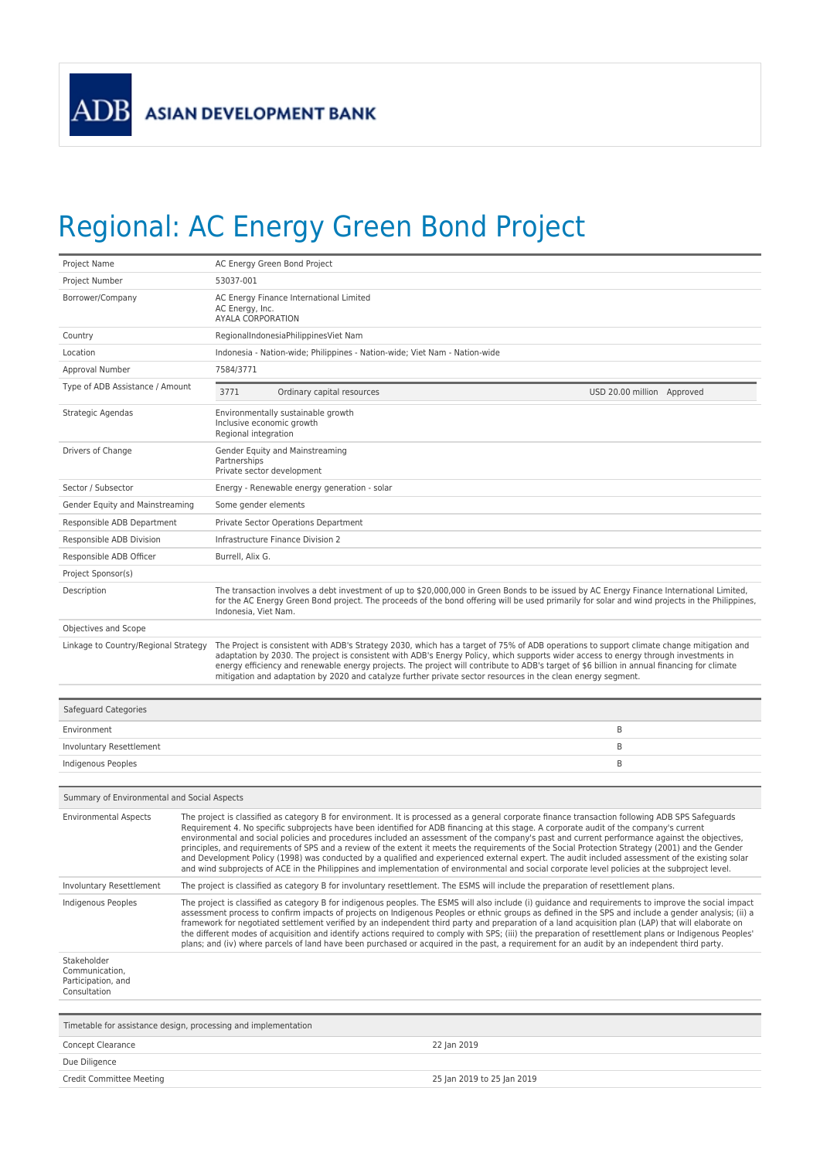

## Regional: AC Energy Green Bond Project

| Project Name                                                        | AC Energy Green Bond Project                                                                                                                                                                                                                                                                                                                                                                                                                                                                                                                                                                                                                                                                                                                                                                                                                                                                           |  |
|---------------------------------------------------------------------|--------------------------------------------------------------------------------------------------------------------------------------------------------------------------------------------------------------------------------------------------------------------------------------------------------------------------------------------------------------------------------------------------------------------------------------------------------------------------------------------------------------------------------------------------------------------------------------------------------------------------------------------------------------------------------------------------------------------------------------------------------------------------------------------------------------------------------------------------------------------------------------------------------|--|
| Project Number                                                      | 53037-001                                                                                                                                                                                                                                                                                                                                                                                                                                                                                                                                                                                                                                                                                                                                                                                                                                                                                              |  |
| Borrower/Company                                                    | AC Energy Finance International Limited<br>AC Energy, Inc.<br>AYALA CORPORATION                                                                                                                                                                                                                                                                                                                                                                                                                                                                                                                                                                                                                                                                                                                                                                                                                        |  |
| Country                                                             | RegionalIndonesiaPhilippinesViet Nam                                                                                                                                                                                                                                                                                                                                                                                                                                                                                                                                                                                                                                                                                                                                                                                                                                                                   |  |
| Location                                                            | Indonesia - Nation-wide; Philippines - Nation-wide; Viet Nam - Nation-wide                                                                                                                                                                                                                                                                                                                                                                                                                                                                                                                                                                                                                                                                                                                                                                                                                             |  |
| Approval Number                                                     | 7584/3771                                                                                                                                                                                                                                                                                                                                                                                                                                                                                                                                                                                                                                                                                                                                                                                                                                                                                              |  |
| Type of ADB Assistance / Amount                                     | 3771<br>Ordinary capital resources<br>USD 20.00 million Approved                                                                                                                                                                                                                                                                                                                                                                                                                                                                                                                                                                                                                                                                                                                                                                                                                                       |  |
| Strategic Agendas                                                   | Environmentally sustainable growth<br>Inclusive economic growth<br>Regional integration                                                                                                                                                                                                                                                                                                                                                                                                                                                                                                                                                                                                                                                                                                                                                                                                                |  |
| Drivers of Change                                                   | Gender Equity and Mainstreaming<br>Partnerships<br>Private sector development                                                                                                                                                                                                                                                                                                                                                                                                                                                                                                                                                                                                                                                                                                                                                                                                                          |  |
| Sector / Subsector                                                  | Energy - Renewable energy generation - solar                                                                                                                                                                                                                                                                                                                                                                                                                                                                                                                                                                                                                                                                                                                                                                                                                                                           |  |
| Gender Equity and Mainstreaming                                     | Some gender elements                                                                                                                                                                                                                                                                                                                                                                                                                                                                                                                                                                                                                                                                                                                                                                                                                                                                                   |  |
| Responsible ADB Department                                          | Private Sector Operations Department                                                                                                                                                                                                                                                                                                                                                                                                                                                                                                                                                                                                                                                                                                                                                                                                                                                                   |  |
| Responsible ADB Division                                            | Infrastructure Finance Division 2                                                                                                                                                                                                                                                                                                                                                                                                                                                                                                                                                                                                                                                                                                                                                                                                                                                                      |  |
| Responsible ADB Officer                                             | Burrell, Alix G.                                                                                                                                                                                                                                                                                                                                                                                                                                                                                                                                                                                                                                                                                                                                                                                                                                                                                       |  |
| Project Sponsor(s)                                                  |                                                                                                                                                                                                                                                                                                                                                                                                                                                                                                                                                                                                                                                                                                                                                                                                                                                                                                        |  |
| Description                                                         | The transaction involves a debt investment of up to \$20,000,000 in Green Bonds to be issued by AC Energy Finance International Limited,<br>for the AC Energy Green Bond project. The proceeds of the bond offering will be used primarily for solar and wind projects in the Philippines,<br>Indonesia, Viet Nam.                                                                                                                                                                                                                                                                                                                                                                                                                                                                                                                                                                                     |  |
| Objectives and Scope                                                |                                                                                                                                                                                                                                                                                                                                                                                                                                                                                                                                                                                                                                                                                                                                                                                                                                                                                                        |  |
| Linkage to Country/Regional Strategy                                | The Project is consistent with ADB's Strategy 2030, which has a target of 75% of ADB operations to support climate change mitigation and<br>adaptation by 2030. The project is consistent with ADB's Energy Policy, which supports wider access to energy through investments in<br>energy efficiency and renewable energy projects. The project will contribute to ADB's target of \$6 billion in annual financing for climate<br>mitigation and adaptation by 2020 and catalyze further private sector resources in the clean energy segment.                                                                                                                                                                                                                                                                                                                                                        |  |
| Safeguard Categories                                                |                                                                                                                                                                                                                                                                                                                                                                                                                                                                                                                                                                                                                                                                                                                                                                                                                                                                                                        |  |
| Environment                                                         | Β                                                                                                                                                                                                                                                                                                                                                                                                                                                                                                                                                                                                                                                                                                                                                                                                                                                                                                      |  |
| Involuntary Resettlement                                            | Β                                                                                                                                                                                                                                                                                                                                                                                                                                                                                                                                                                                                                                                                                                                                                                                                                                                                                                      |  |
| Indigenous Peoples                                                  | B                                                                                                                                                                                                                                                                                                                                                                                                                                                                                                                                                                                                                                                                                                                                                                                                                                                                                                      |  |
|                                                                     |                                                                                                                                                                                                                                                                                                                                                                                                                                                                                                                                                                                                                                                                                                                                                                                                                                                                                                        |  |
| Summary of Environmental and Social Aspects                         |                                                                                                                                                                                                                                                                                                                                                                                                                                                                                                                                                                                                                                                                                                                                                                                                                                                                                                        |  |
| <b>Environmental Aspects</b>                                        | The project is classified as category B for environment. It is processed as a general corporate finance transaction following ADB SPS Safeguards<br>Requirement 4. No specific subprojects have been identified for ADB financing at this stage. A corporate audit of the company's current<br>environmental and social policies and procedures included an assessment of the company's past and current performance against the objectives,<br>principles, and requirements of SPS and a review of the extent it meets the requirements of the Social Protection Strategy (2001) and the Gender<br>and Development Policy (1998) was conducted by a qualified and experienced external expert. The audit included assessment of the existing solar<br>and wind subprojects of ACE in the Philippines and implementation of environmental and social corporate level policies at the subproject level. |  |
| Involuntary Resettlement                                            | The project is classified as category B for involuntary resettlement. The ESMS will include the preparation of resettlement plans.                                                                                                                                                                                                                                                                                                                                                                                                                                                                                                                                                                                                                                                                                                                                                                     |  |
| Indigenous Peoples                                                  | The project is classified as category B for indigenous peoples. The ESMS will also include (i) guidance and reguirements to improve the social impact<br>assessment process to confirm impacts of projects on Indigenous Peoples or ethnic groups as defined in the SPS and include a gender analysis; (ii) a<br>framework for negotiated settlement verified by an independent third party and preparation of a land acquisition plan (LAP) that will elaborate on<br>the different modes of acquisition and identify actions required to comply with SPS; (iii) the preparation of resettlement plans or Indigenous Peoples'<br>plans; and (iv) where parcels of land have been purchased or acquired in the past, a requirement for an audit by an independent third party.                                                                                                                         |  |
| Stakeholder<br>Communication,<br>Participation, and<br>Consultation |                                                                                                                                                                                                                                                                                                                                                                                                                                                                                                                                                                                                                                                                                                                                                                                                                                                                                                        |  |
|                                                                     | Timetable for assistance design, processing and implementation                                                                                                                                                                                                                                                                                                                                                                                                                                                                                                                                                                                                                                                                                                                                                                                                                                         |  |
| Concept Clearance                                                   | 22 Jan 2019                                                                                                                                                                                                                                                                                                                                                                                                                                                                                                                                                                                                                                                                                                                                                                                                                                                                                            |  |
| Due Diligence                                                       |                                                                                                                                                                                                                                                                                                                                                                                                                                                                                                                                                                                                                                                                                                                                                                                                                                                                                                        |  |
| Credit Committee Meeting                                            | 25 Jan 2019 to 25 Jan 2019                                                                                                                                                                                                                                                                                                                                                                                                                                                                                                                                                                                                                                                                                                                                                                                                                                                                             |  |
|                                                                     |                                                                                                                                                                                                                                                                                                                                                                                                                                                                                                                                                                                                                                                                                                                                                                                                                                                                                                        |  |